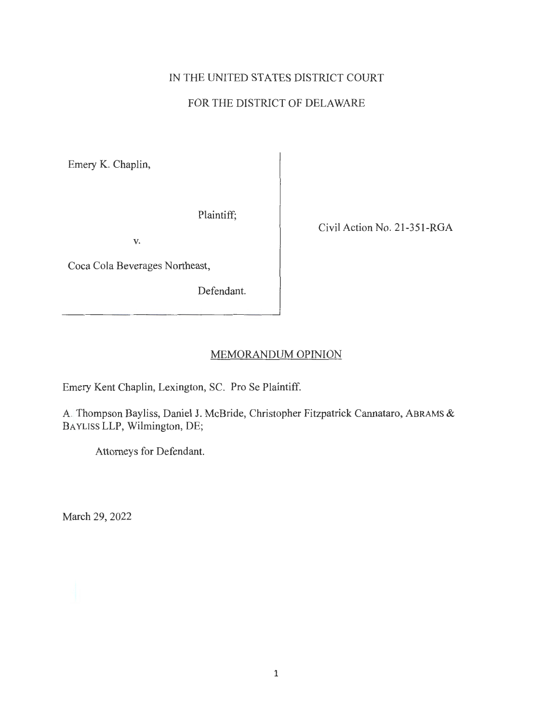# IN THE UNITED STATES DISTRICT COURT

# FOR THE DISTRICT OF DELAWARE

Emery K. Chaplin,

Plaintiff;

V.

Coca Cola Beverages Northeast,

Defendant.

Civil Action No. 21-351-RGA

## MEMORANDUM OPINION

Emery Kent Chaplin, Lexington, SC. Pro Se Plaintiff.

A. Thompson Bayliss, Daniel J. McBride, Christopher Fitzpatrick Cannataro, ABRAMS & BAYLISS LLP, Wilmington, DE;

Attorneys for Defendant.

March 29, 2022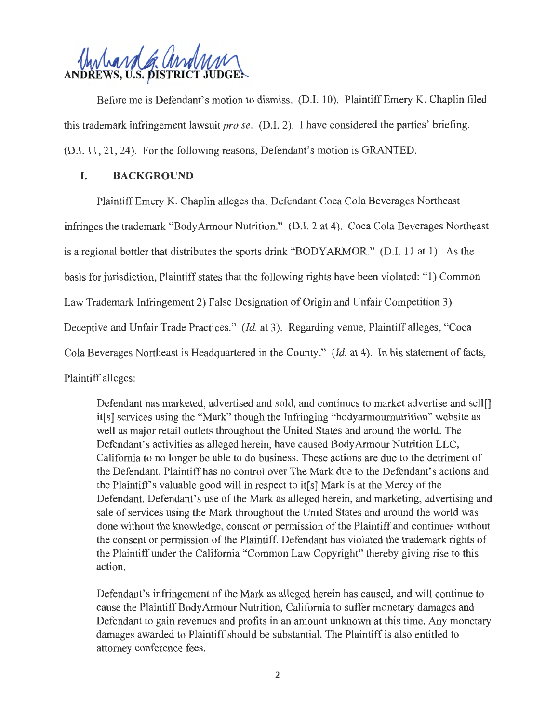

Before me is Defendant's motion to dismiss. (D.I. 10). Plaintiff Emery K. Chaplin filed this trademark infringement lawsuit *pro se.* (D.I. 2). I have considered the parties' briefing. (D.I. 11 , 21, 24). For the following reasons, Defendant's motion is GRANTED.

## **I. BACKGROUND**

Plaintiff Emery K. Chaplin alleges that Defendant Coca Cola Beverages Northeast infringes the trademark "Body Armour Nutrition." (D.I. 2 at 4). Coca Cola Beverages Northeast is a regional bottler that distributes the sports drink "BODYARMOR." (D.I. 11 at 1). As the basis for jurisdiction, Plaintiff states that the following rights have been violated: "1) Common Law Trademark Infringement 2) False Designation of Origin and Unfair Competition 3) Deceptive and Unfair Trade Practices." *(Id.* at 3). Regarding venue, Plaintiff alleges, "Coca Cola Beverages Northeast is Headquartered in the County." *(Id.* at 4). In his statement of facts, Plaintiff alleges:

Defendant has marketed, advertised and sold, and continues to market advertise and sell[] it[ s] services using the "Mark" though the Infringing "bodyarmournutrition" website as well as major retail outlets throughout the United States and around the world. The Defendant's activities as alleged herein, have caused Body Armour Nutrition LLC, California to no longer be able to do business. These actions are due to the detriment of the Defendant. Plaintiff has no control over The Mark due to the Defendant's actions and the Plaintiff's valuable good will in respect to it[s] Mark is at the Mercy of the Defendant. Defendant's use of the Mark as alleged herein, and marketing, advertising and sale of services using the Mark throughout the United States and around the world was done without the knowledge, consent or permission of the Plaintiff and continues without the consent or permission of the Plaintiff. Defendant has violated the trademark rights of the Plaintiff under the California "Common Law Copyright" thereby giving rise to this action.

Defendant's infringement of the Mark as alleged herein has caused, and will continue to cause the Plaintiff Body Armour Nutrition, California to suffer monetary damages and Defendant to gain revenues and profits in an amount unknown at this time. Any monetary damages awarded to Plaintiff should be substantial. The Plaintiff is also entitled to attorney conference fees.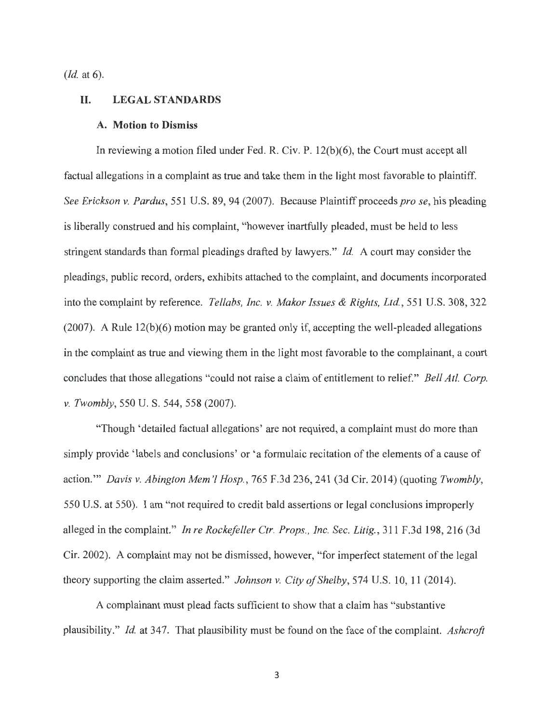*(Id.* at 6).

#### **II. LEGALSTANDARDS**

#### **A. Motion to Dismiss**

In reviewing a motion filed under Fed. R. Civ. P. 12(b)(6), the Court must accept all factual allegations in a complaint as true and take them in the light most favorable to plaintiff. *See Erickson v. Pardus,* 551 U.S. 89, 94 (2007). Because Plaintiff proceeds *pro se*, his pleading is liberally construed and his complaint, "however inartfully pleaded, must be held to less stringent standards than formal pleadings drafted by lawyers." *Id.* A court may consider the pleadings, public record, orders, exhibits attached to the complaint, and documents incorporated into the complaint by reference. *Tellabs, Inc. v. Makor Issues & Rights, Ltd.,* 551 U.S. 308, 322 (2007). A Rule 12(b)(6) motion may be granted only if, accepting the well-pleaded allegations in the complaint as true and viewing them in the light most favorable to the complainant, a court concludes that those allegations "could not raise a claim of entitlement to relief." *Bell At/. Corp. v. Twombly,* 550 U. S. 544, 558 (2007).

"Though 'detailed factual allegations' are not required, a complaint must do more than simply provide 'labels and conclusions' or 'a formulaic recitation of the elements of a cause of action."' *Davis v. Abington Mem 'l Hosp.,* 765 F.3d 236, 241 (3d Cir. 2014) (quoting *Twombly,*  550 U.S. at 550). I am "not required to credit bald assertions or legal conclusions improperly alleged in the complaint." *In re Rockefeller Ctr. Props. , Inc. Sec. Litig.,* 311 F.3d 198,216 (3d Cir. 2002). A complaint may not be dismissed, however, "for imperfect statement of the legal theory supporting the claim asserted." *Johnson v. City of Shelby,* 574 U.S. 10, 11 (2014).

A complainant must plead facts sufficient to show that a claim has "substantive plausibility." *Id.* at 347. That plausibility must be found on the face of the complaint. *Ashcroft*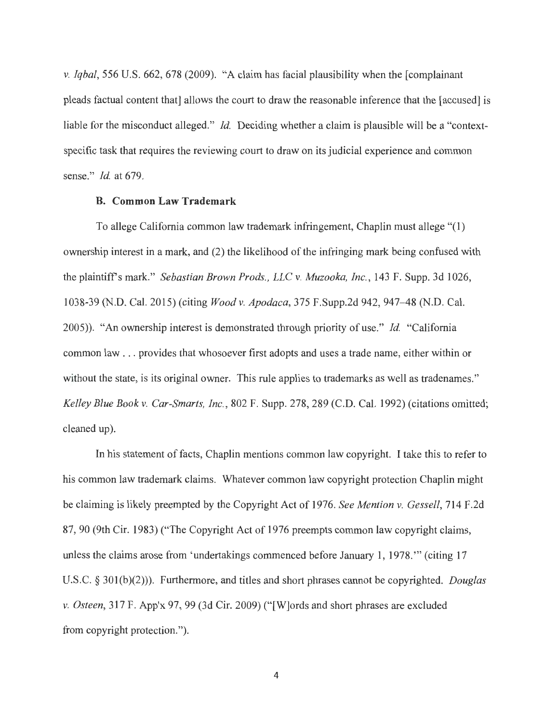*v. Iqbal,* 556 U.S. 662, 678 (2009). "A claim has facial plausibility when the [complainant pleads factual content that] allows the court to draw the reasonable inference that the [accused] is liable for the misconduct alleged." *Id.* Deciding whether a claim is plausible will be a "contextspecific task that requires the reviewing court to draw on its judicial experience and common sense." *Id.* at 679.

### **B. Common Law Trademark**

To allege California common law trademark infringement, Chaplin must allege "(1) ownership interest in a mark, and (2) the likelihood of the infringing mark being confused with the plaintiff's mark." *Sebastian Brown Prods., LLC v. Muzooka, Inc. ,* 143 F. Supp. 3d 1026, 1038-39 (N.D. Cal. 2015) (citing *Wood v. Apodaca,* 375 F.Supp.2d 942, 947-48 (N.D. Cal. 2005)). "An ownership interest is demonstrated through priority of use." *Id.* "California common law ... provides that whosoever first adopts and uses a trade name, either within or without the state, is its original owner. This rule applies to trademarks as well as tradenames." *Kelley Blue Book v. Car-Smarts, Inc.,* 802 F. Supp. 278, 289 (C.D. Cal. 1992) ( citations omitted; cleaned up).

In his statement of facts, Chaplin mentions common law copyright. I take this to refer to his common law trademark claims. Whatever common law copyright protection Chaplin might be claiming is likely preempted by the Copyright Act of 1976. *See Mention v. Gessel!,* 714 F.2d 87, 90 (9th Cir. 1983) ("The Copyright Act of 1976 preempts common law copyright claims, unless the claims arose from 'undertakings commenced before January 1, 1978. "' ( citing 17 U.S.C. § 301(b)(2))). Furthermore, and titles and short phrases cannot be copyrighted. *Douglas v. Osteen,* 317 F. App'x 97, 99 (3d Cir. 2009) ("[W]ords and short phrases are excluded from copyright protection.").

4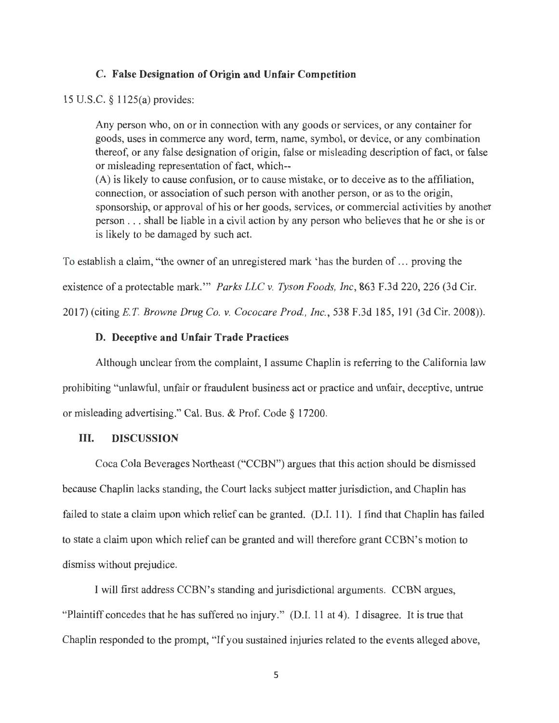### **C. False Designation of Origin and Unfair Competition**

#### 15 U.S.C. § 1125(a) provides:

Any person who, on or in connection with any goods or services, or any container for goods, uses in commerce any word, term, name, symbol, or device, or any combination thereof, or any false designation of origin, false or misleading description of fact, or false or misleading representation of fact, which-- (A) is likely to cause confusion, or to cause mistake, or to deceive as to the affiliation, connection, or association of such person with another person, or as to the origin,

sponsorship, or approval of his or her goods, services, or commercial activities by another person . .. shall be liable in a civil action by any person who believes that he or she is or is likely to be damaged by such act.

To establish a claim, "the owner of an unregistered mark 'has the burden of ... proving the existence of a protectable mark."" *Parks LLC v. Tyson Foods, Inc*, 863 F.3d 220, 226 (3d Cir.

2017) (citing *E.T. Browne Drug Co. v. Cococare Prod., Inc.*, 538 F.3d 185, 191 (3d Cir. 2008)).

## **D. Deceptive and Unfair Trade Practices**

Although unclear from the complaint, I assume Chaplin is referring to the California law prohibiting "unlawful, unfair or fraudulent business act or practice and unfair, deceptive, untrue or misleading advertising." Cal. Bus. & Prof. Code § 17200.

### **III. DISCUSSION**

Coca Cola Beverages Northeast ("CCBN") argues that this action should be dismissed because Chaplin lacks standing, the Court lacks subject matter jurisdiction, and Chaplin has failed to state a claim upon which relief can be granted. (D.I. 11). I find that Chaplin has failed to state a claim upon which relief can be granted and will therefore grant CCBN's motion to dismiss without prejudice.

I will first address CCBN's standing and jurisdictional arguments. CCBN argues, "Plaintiff concedes that he has suffered no injury." (D.I. 11 at 4). I disagree. It is true that Chaplin responded to the prompt, "If you sustained injuries related to the events alleged above,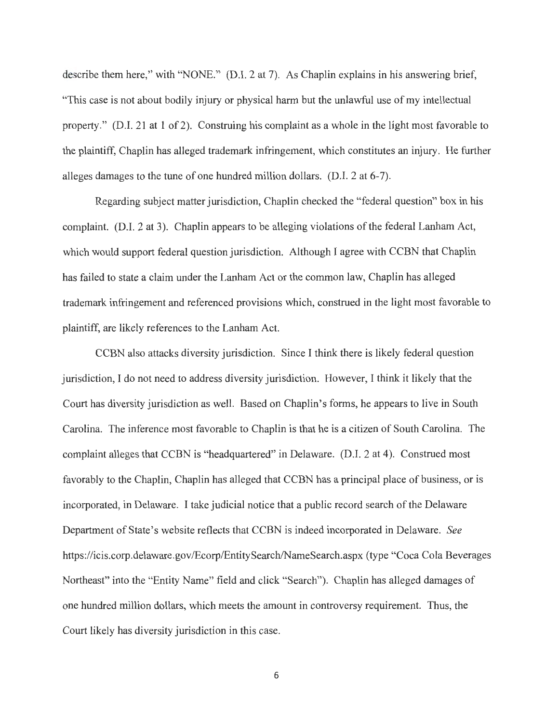describe them here," with "NONE." (D.I. 2 at 7). As Chaplin explains in his answering brief, "This case is not about bodily injury or physical harm but the unlawful use of my intellectual property." (D.I. 21 at 1 of 2). Construing his complaint as a whole in the light most favorable to the plaintiff, Chaplin has alleged trademark infringement, which constitutes an injury. He further alleges damages to the tune of one hundred million dollars. (D.I. 2 at 6-7).

Regarding subject matter jurisdiction, Chaplin checked the "federal question" box in his complaint. (D.I. 2 at 3). Chaplin appears to be alleging violations of the federal Lanham Act, which would support federal question jurisdiction. Although I agree with CCBN that Chaplin has failed to state a claim under the Lanham Act or the common law, Chaplin has alleged trademark infringement and referenced provisions which, construed in the light most favorable to plaintiff, are likely references to the Lanham Act.

CCBN also attacks diversity jurisdiction. Since I think there is likely federal question jurisdiction, I do not need to address diversity jurisdiction. However, I think it likely that the Court has diversity jurisdiction as well. Based on Chaplin's forms, he appears to live in South Carolina. The inference most favorable to Chaplin is that he is a citizen of South Carolina. The complaint alleges that CCBN is "headquartered" in Delaware. (D.I. 2 at 4). Construed most favorably to the Chaplin, Chaplin has alleged that CCBN has a principal place of business, or is incorporated, in Delaware. I take judicial notice that a public record search of the Delaware Department of State's website reflects that CCBN is indeed incorporated in Delaware. *See*  https://icis.corp.delaware.gov/Ecorp/EntitySearch/NameSearch.aspx (type "Coca Cola Beverages Northeast" into the "Entity Name" field and click "Search"). Chaplin has alleged damages of one hundred million dollars, which meets the amount in controversy requirement. Thus, the Court likely has diversity jurisdiction in this case.

6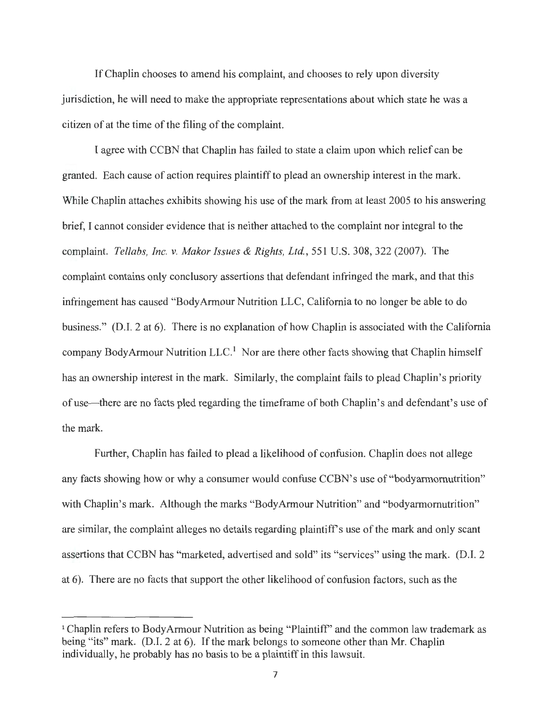If Chaplin chooses to amend his complaint, and chooses to rely upon diversity jurisdiction, he will need to make the appropriate representations about which state he was a citizen of at the time of the filing of the complaint.

I agree with CCBN that Chaplin has failed to state a claim upon which relief can be granted. Each cause of action requires plaintiff to plead an ownership interest in the mark. While Chaplin attaches exhibits showing his use of the mark from at least 2005 to his answering brief, I cannot consider evidence that is neither attached to the complaint nor integral to the complaint. *Tellabs, Inc. v. Makor Issues & Rights, Ltd.*, 551 U.S. 308, 322 (2007). The complaint contains only conclusory assertions that defendant infringed the mark, and that this infringement has caused "Body Armour Nutrition LLC, California to no longer be able to do business." (D.1. 2 at 6). There is no explanation of how Chaplin is associated with the California company Body Armour Nutrition LLC.<sup>1</sup> Nor are there other facts showing that Chaplin himself has an ownership interest in the mark. Similarly, the complaint fails to plead Chaplin's priority of use-there are no facts pled regarding the timeframe of both Chaplin's and defendant's use of the mark.

Further, Chaplin has failed to plead a likelihood of confusion. Chaplin does not allege any facts showing how or why a consumer would confuse CCBN's use of "bodyarmomutrition" with Chaplin's mark. Although the marks "BodyArmour Nutrition" and "bodyarmornutrition" are similar, the complaint alleges no details regarding plaintiff's use of the mark and only scant assertions that CCBN has "marketed, advertised and sold" its "services" using the mark. (D.I. 2 at 6). There are no facts that support the other likelihood of confusion factors, such as the

<sup>&</sup>lt;sup>1</sup> Chaplin refers to Body Armour Nutrition as being "Plaintiff" and the common law trademark as being "its" mark. (D.I. 2 at 6). If the mark belongs to someone other than Mr. Chaplin individually, he probably has no basis to be a plaintiff in this lawsuit.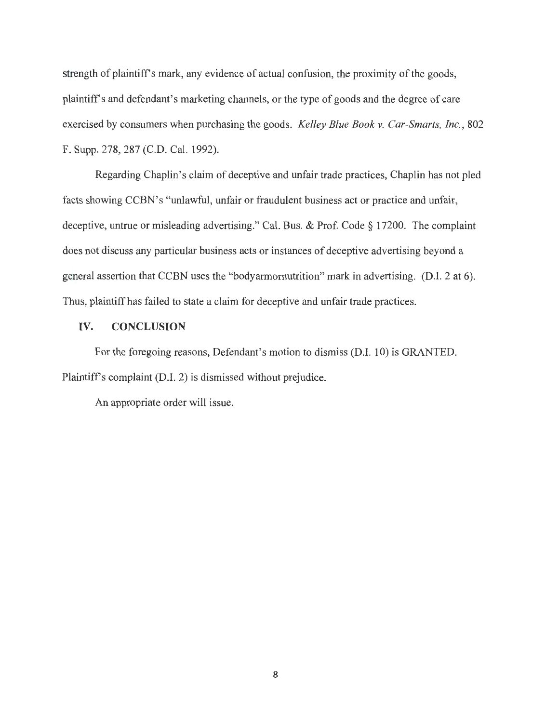strength of plaintiff's mark, any evidence of actual confusion, the proximity of the goods, plaintiffs and defendant's marketing channels, or the type of goods and the degree of care exercised by consumers when purchasing the goods. *Kelley Blue Book v. Car-Smarts, Inc.,* 802 F. Supp. 278, 287 (C.D. Cal. 1992).

Regarding Chaplin's claim of deceptive and unfair trade practices, Chaplin has not pied facts showing CCBN's "unlawful, unfair or fraudulent business act or practice and unfair, deceptive, untrue or misleading advertising." Cal. Bus. & Prof. Code § 17200. The complaint does not discuss any particular business acts or instances of deceptive advertising beyond a general assertion that CCBN uses the "bodyarmornutrition" mark in advertising. (D.I. 2 at 6). Thus, plaintiff has failed to state a claim for deceptive and unfair trade practices.

### **IV. CONCLUSION**

For the foregoing reasons, Defendant's motion to dismiss (D.I. 10) is GRANTED. Plaintiff's complaint (D.I. 2) is dismissed without prejudice.

An appropriate order will issue.